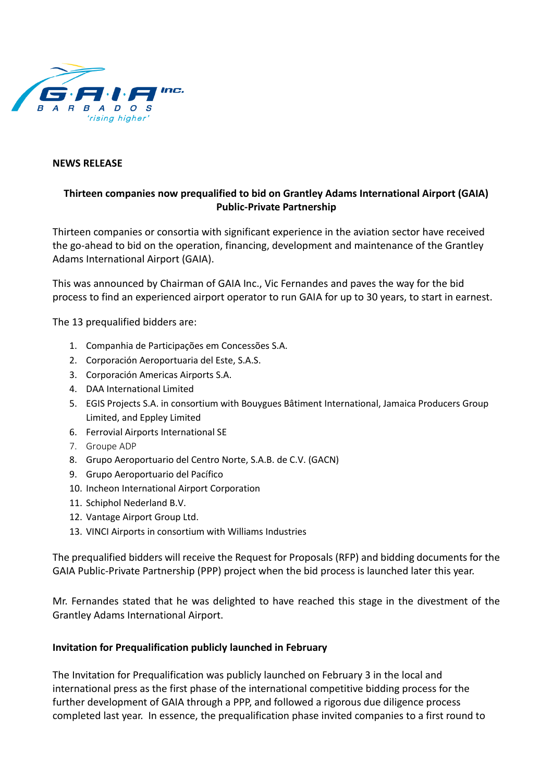

## **NEWS RELEASE**

## **Thirteen companies now prequalified to bid on Grantley Adams International Airport (GAIA) Public-Private Partnership**

Thirteen companies or consortia with significant experience in the aviation sector have received the go-ahead to bid on the operation, financing, development and maintenance of the Grantley Adams International Airport (GAIA).

This was announced by Chairman of GAIA Inc., Vic Fernandes and paves the way for the bid process to find an experienced airport operator to run GAIA for up to 30 years, to start in earnest.

The 13 prequalified bidders are:

- 1. Companhia de Participações em Concessões S.A.
- 2. Corporación Aeroportuaria del Este, S.A.S.
- 3. Corporación Americas Airports S.A.
- 4. DAA International Limited
- 5. EGIS Projects S.A. in consortium with Bouygues Bâtiment International, Jamaica Producers Group Limited, and Eppley Limited
- 6. Ferrovial Airports International SE
- 7. Groupe ADP
- 8. Grupo Aeroportuario del Centro Norte, S.A.B. de C.V. (GACN)
- 9. Grupo Aeroportuario del Pacífico
- 10. Incheon International Airport Corporation
- 11. Schiphol Nederland B.V.
- 12. Vantage Airport Group Ltd.
- 13. VINCI Airports in consortium with Williams Industries

The prequalified bidders will receive the Request for Proposals (RFP) and bidding documents for the GAIA Public-Private Partnership (PPP) project when the bid process is launched later this year.

Mr. Fernandes stated that he was delighted to have reached this stage in the divestment of the Grantley Adams International Airport.

## **Invitation for Prequalification publicly launched in February**

The Invitation for Prequalification was publicly launched on February 3 in the local and international press as the first phase of the international competitive bidding process for the further development of GAIA through a PPP, and followed a rigorous due diligence process completed last year. In essence, the prequalification phase invited companies to a first round to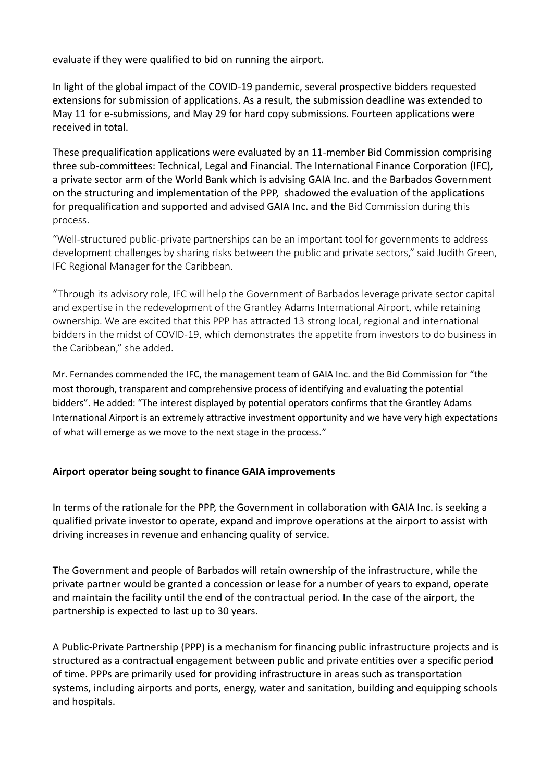evaluate if they were qualified to bid on running the airport.

In light of the global impact of the COVID-19 pandemic, several prospective bidders requested extensions for submission of applications. As a result, the submission deadline was extended to May 11 for e-submissions, and May 29 for hard copy submissions. Fourteen applications were received in total.

These prequalification applications were evaluated by an 11-member Bid Commission comprising three sub-committees: Technical, Legal and Financial. The International Finance Corporation (IFC), a private sector arm of the World Bank which is advising GAIA Inc. and the Barbados Government on the structuring and implementation of the PPP, shadowed the evaluation of the applications for prequalification and supported and advised GAIA Inc. and the Bid Commission during this process.

"Well-structured public-private partnerships can be an important tool for governments to address development challenges by sharing risks between the public and private sectors," said Judith Green, IFC Regional Manager for the Caribbean.

"Through its advisory role, IFC will help the Government of Barbados leverage private sector capital and expertise in the redevelopment of the Grantley Adams International Airport, while retaining ownership. We are excited that this PPP has attracted 13 strong local, regional and international bidders in the midst of COVID-19, which demonstrates the appetite from investors to do business in the Caribbean," she added.

Mr. Fernandes commended the IFC, the management team of GAIA Inc. and the Bid Commission for "the most thorough, transparent and comprehensive process of identifying and evaluating the potential bidders". He added: "The interest displayed by potential operators confirms that the Grantley Adams International Airport is an extremely attractive investment opportunity and we have very high expectations of what will emerge as we move to the next stage in the process."

## **Airport operator being sought to finance GAIA improvements**

In terms of the rationale for the PPP, the Government in collaboration with GAIA Inc. is seeking a qualified private investor to operate, expand and improve operations at the airport to assist with driving increases in revenue and enhancing quality of service.

**T**he Government and people of Barbados will retain ownership of the infrastructure, while the private partner would be granted a concession or lease for a number of years to expand, operate and maintain the facility until the end of the contractual period. In the case of the airport, the partnership is expected to last up to 30 years.

A Public-Private Partnership (PPP) is a mechanism for financing public infrastructure projects and is structured as a contractual engagement between public and private entities over a specific period of time. PPPs are primarily used for providing infrastructure in areas such as transportation systems, including airports and ports, energy, water and sanitation, building and equipping schools and hospitals.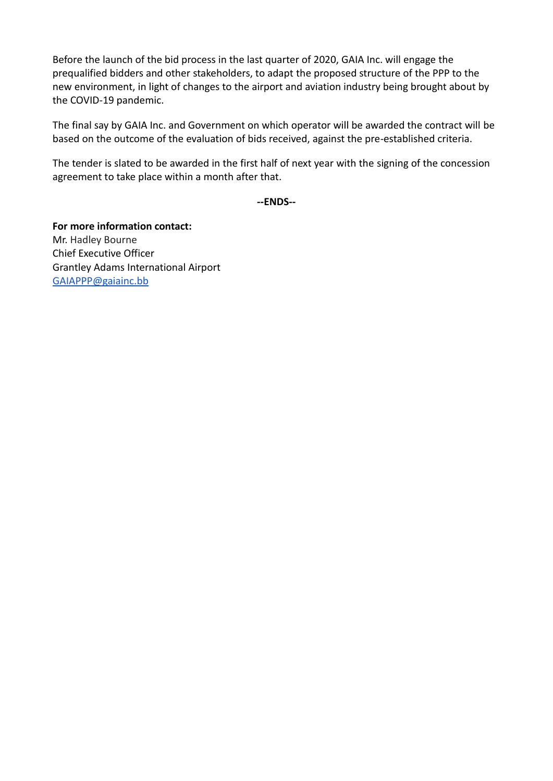Before the launch of the bid process in the last quarter of 2020, GAIA Inc. will engage the prequalified bidders and other stakeholders, to adapt the proposed structure of the PPP to the new environment, in light of changes to the airport and aviation industry being brought about by the COVID-19 pandemic.

The final say by GAIA Inc. and Government on which operator will be awarded the contract will be based on the outcome of the evaluation of bids received, against the pre-established criteria.

The tender is slated to be awarded in the first half of next year with the signing of the concession agreement to take place within a month after that.

**--ENDS--**

**For more information contact:** Mr. Hadley Bourne Chief Executive Officer Grantley Adams International Airport [GAIAPPP@gaiainc.bb](mailto:GAIAPPP@gaiainc.bb)